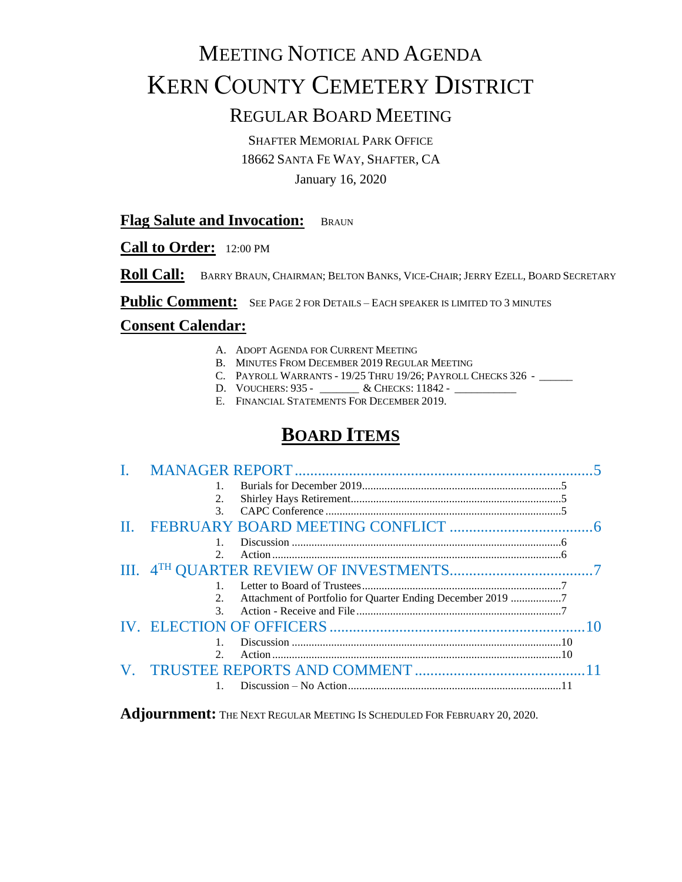# MEETING NOTICE AND AGENDA KERN COUNTY CEMETERY DISTRICT

## REGULAR BOARD MEETING

SHAFTER MEMORIAL PARK OFFICE 18662 SANTA FE WAY, SHAFTER, CA

January 16, 2020

#### **Flag Salute and Invocation:** BRAUN

**Call to Order:** 12:00 PM

**Roll Call:** BARRY BRAUN, CHAIRMAN; BELTON BANKS, VICE-CHAIR; JERRY EZELL, BOARD SECRETARY

Public Comment: SEE PAGE 2 FOR DETAILS – EACH SPEAKER IS LIMITED TO 3 MINUTES

#### **Consent Calendar:**

- A. ADOPT AGENDA FOR CURRENT MEETING
- B. MINUTES FROM DECEMBER 2019 REGULAR MEETING
- C. PAYROLL WARRANTS 19/25 THRU 19/26; PAYROLL CHECKS 326 \_\_\_\_\_\_
- D. VOUCHERS: 935 \_\_\_\_\_\_\_\_ & CHECKS: 11842 \_\_\_\_\_\_
- E. FINANCIAL STATEMENTS FOR DECEMBER 2019.

## **BOARD ITEMS**

| 2.                                                               |  |
|------------------------------------------------------------------|--|
| $\mathcal{F}$                                                    |  |
|                                                                  |  |
|                                                                  |  |
| $\mathcal{D}$<br>Action.                                         |  |
|                                                                  |  |
| $\mathbf{1}$                                                     |  |
| Attachment of Portfolio for Quarter Ending December 2019 7<br>2. |  |
| $\mathcal{F}$                                                    |  |
|                                                                  |  |
| $\mathbf{1}$ .                                                   |  |
| $\mathcal{D}$                                                    |  |
|                                                                  |  |
|                                                                  |  |

Adjournment: The Next Regular Meeting Is Scheduled For February 20, 2020.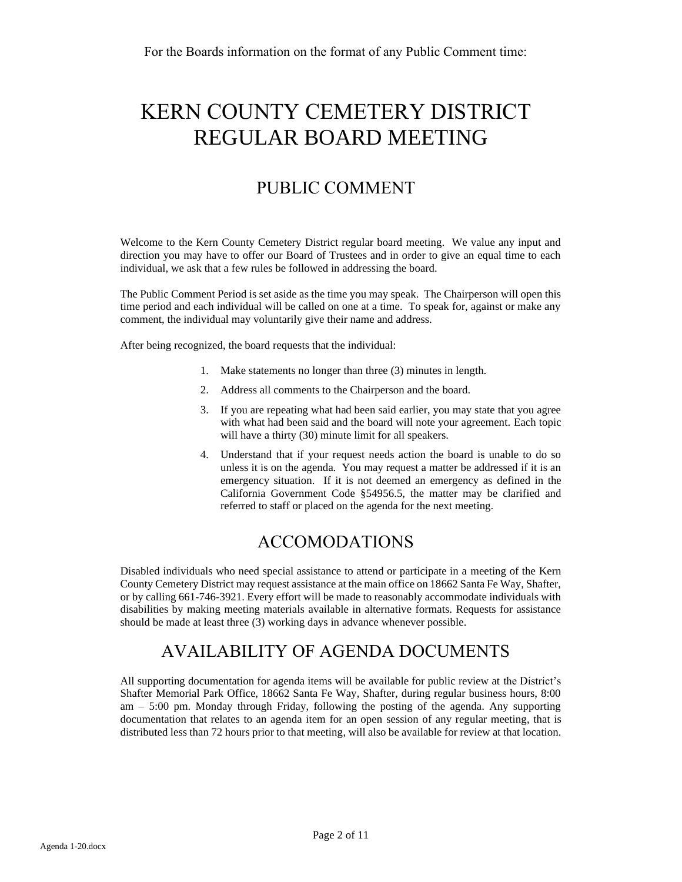# KERN COUNTY CEMETERY DISTRICT REGULAR BOARD MEETING

## PUBLIC COMMENT

Welcome to the Kern County Cemetery District regular board meeting. We value any input and direction you may have to offer our Board of Trustees and in order to give an equal time to each individual, we ask that a few rules be followed in addressing the board.

The Public Comment Period is set aside as the time you may speak. The Chairperson will open this time period and each individual will be called on one at a time. To speak for, against or make any comment, the individual may voluntarily give their name and address.

After being recognized, the board requests that the individual:

- 1. Make statements no longer than three (3) minutes in length.
- 2. Address all comments to the Chairperson and the board.
- 3. If you are repeating what had been said earlier, you may state that you agree with what had been said and the board will note your agreement. Each topic will have a thirty (30) minute limit for all speakers.
- 4. Understand that if your request needs action the board is unable to do so unless it is on the agenda. You may request a matter be addressed if it is an emergency situation. If it is not deemed an emergency as defined in the California Government Code §54956.5, the matter may be clarified and referred to staff or placed on the agenda for the next meeting.

### ACCOMODATIONS

Disabled individuals who need special assistance to attend or participate in a meeting of the Kern County Cemetery District may request assistance at the main office on 18662 Santa Fe Way, Shafter, or by calling 661-746-3921. Every effort will be made to reasonably accommodate individuals with disabilities by making meeting materials available in alternative formats. Requests for assistance should be made at least three (3) working days in advance whenever possible.

## AVAILABILITY OF AGENDA DOCUMENTS

All supporting documentation for agenda items will be available for public review at the District's Shafter Memorial Park Office, 18662 Santa Fe Way, Shafter, during regular business hours, 8:00 am – 5:00 pm. Monday through Friday, following the posting of the agenda. Any supporting documentation that relates to an agenda item for an open session of any regular meeting, that is distributed less than 72 hours prior to that meeting, will also be available for review at that location.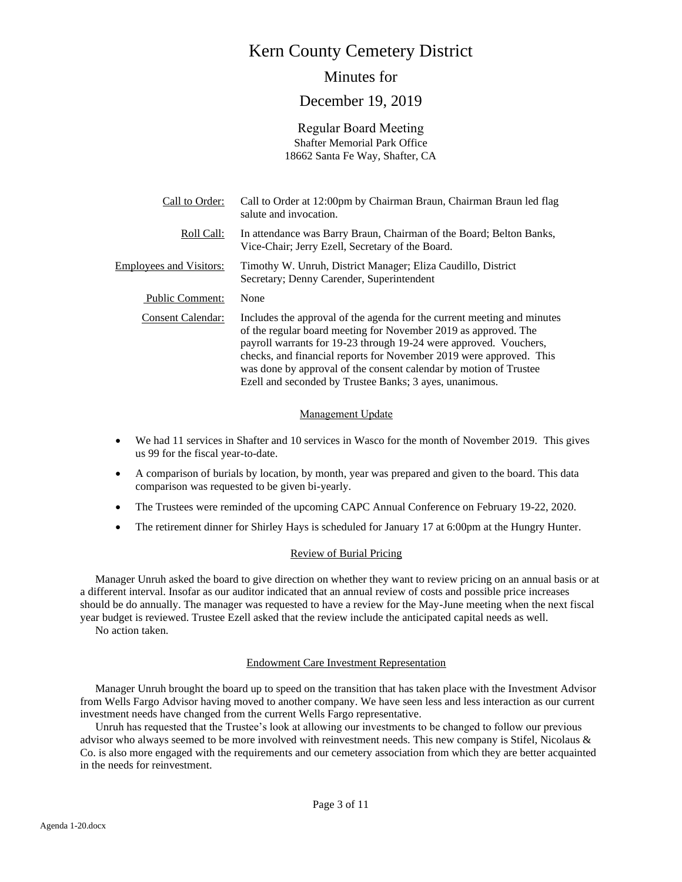## Kern County Cemetery District

#### Minutes for

#### December 19, 2019

Regular Board Meeting Shafter Memorial Park Office 18662 Santa Fe Way, Shafter, CA

| Call to Order:                 | Call to Order at 12:00pm by Chairman Braun, Chairman Braun led flag<br>salute and invocation.                                                                                                                                                                                                                                                                                                                          |
|--------------------------------|------------------------------------------------------------------------------------------------------------------------------------------------------------------------------------------------------------------------------------------------------------------------------------------------------------------------------------------------------------------------------------------------------------------------|
| Roll Call:                     | In attendance was Barry Braun, Chairman of the Board; Belton Banks,<br>Vice-Chair; Jerry Ezell, Secretary of the Board.                                                                                                                                                                                                                                                                                                |
| <b>Employees and Visitors:</b> | Timothy W. Unruh, District Manager; Eliza Caudillo, District<br>Secretary; Denny Carender, Superintendent                                                                                                                                                                                                                                                                                                              |
| <b>Public Comment:</b>         | None                                                                                                                                                                                                                                                                                                                                                                                                                   |
| Consent Calendar:              | Includes the approval of the agenda for the current meeting and minutes<br>of the regular board meeting for November 2019 as approved. The<br>payroll warrants for 19-23 through 19-24 were approved. Vouchers,<br>checks, and financial reports for November 2019 were approved. This<br>was done by approval of the consent calendar by motion of Trustee<br>Ezell and seconded by Trustee Banks; 3 ayes, unanimous. |

#### Management Update

- We had 11 services in Shafter and 10 services in Wasco for the month of November 2019. This gives us 99 for the fiscal year-to-date.
- A comparison of burials by location, by month, year was prepared and given to the board. This data comparison was requested to be given bi-yearly.
- The Trustees were reminded of the upcoming CAPC Annual Conference on February 19-22, 2020.
- The retirement dinner for Shirley Hays is scheduled for January 17 at 6:00pm at the Hungry Hunter.

#### Review of Burial Pricing

Manager Unruh asked the board to give direction on whether they want to review pricing on an annual basis or at a different interval. Insofar as our auditor indicated that an annual review of costs and possible price increases should be do annually. The manager was requested to have a review for the May-June meeting when the next fiscal year budget is reviewed. Trustee Ezell asked that the review include the anticipated capital needs as well.

No action taken.

#### Endowment Care Investment Representation

Manager Unruh brought the board up to speed on the transition that has taken place with the Investment Advisor from Wells Fargo Advisor having moved to another company. We have seen less and less interaction as our current investment needs have changed from the current Wells Fargo representative.

Unruh has requested that the Trustee's look at allowing our investments to be changed to follow our previous advisor who always seemed to be more involved with reinvestment needs. This new company is Stifel, Nicolaus & Co. is also more engaged with the requirements and our cemetery association from which they are better acquainted in the needs for reinvestment.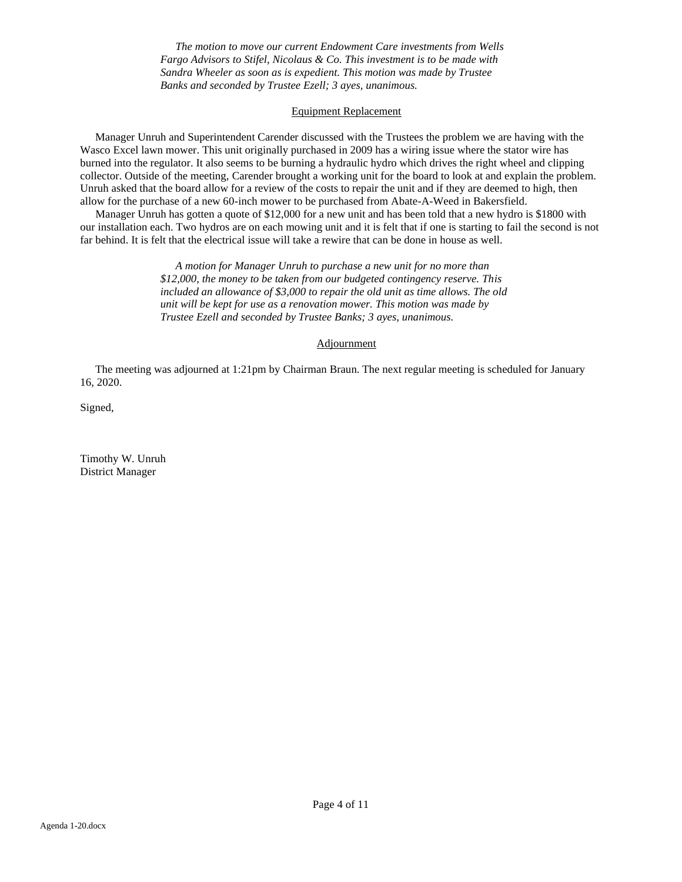*The motion to move our current Endowment Care investments from Wells Fargo Advisors to Stifel, Nicolaus & Co. This investment is to be made with Sandra Wheeler as soon as is expedient. This motion was made by Trustee Banks and seconded by Trustee Ezell; 3 ayes, unanimous.* 

#### Equipment Replacement

Manager Unruh and Superintendent Carender discussed with the Trustees the problem we are having with the Wasco Excel lawn mower. This unit originally purchased in 2009 has a wiring issue where the stator wire has burned into the regulator. It also seems to be burning a hydraulic hydro which drives the right wheel and clipping collector. Outside of the meeting, Carender brought a working unit for the board to look at and explain the problem. Unruh asked that the board allow for a review of the costs to repair the unit and if they are deemed to high, then allow for the purchase of a new 60-inch mower to be purchased from Abate-A-Weed in Bakersfield.

Manager Unruh has gotten a quote of \$12,000 for a new unit and has been told that a new hydro is \$1800 with our installation each. Two hydros are on each mowing unit and it is felt that if one is starting to fail the second is not far behind. It is felt that the electrical issue will take a rewire that can be done in house as well.

> *A motion for Manager Unruh to purchase a new unit for no more than \$12,000, the money to be taken from our budgeted contingency reserve. This included an allowance of \$3,000 to repair the old unit as time allows. The old unit will be kept for use as a renovation mower. This motion was made by Trustee Ezell and seconded by Trustee Banks; 3 ayes, unanimous.*

#### **Adjournment**

The meeting was adjourned at 1:21pm by Chairman Braun. The next regular meeting is scheduled for January 16, 2020.

Signed,

Timothy W. Unruh District Manager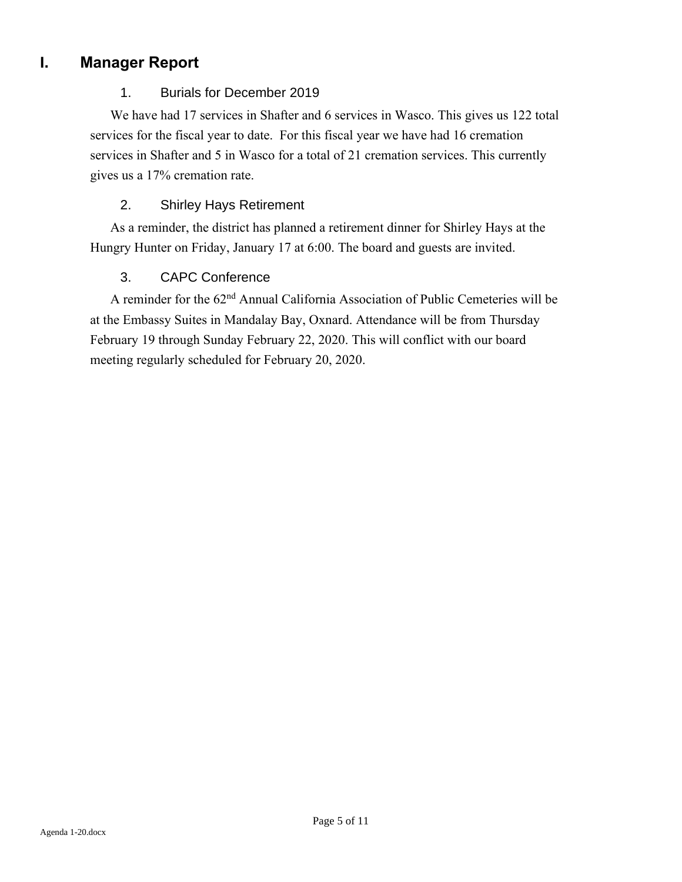### **I. Manager Report**

#### 1. Burials for December 2019

We have had 17 services in Shafter and 6 services in Wasco. This gives us 122 total services for the fiscal year to date. For this fiscal year we have had 16 cremation services in Shafter and 5 in Wasco for a total of 21 cremation services. This currently gives us a 17% cremation rate.

#### 2. Shirley Hays Retirement

As a reminder, the district has planned a retirement dinner for Shirley Hays at the Hungry Hunter on Friday, January 17 at 6:00. The board and guests are invited.

#### 3. CAPC Conference

A reminder for the 62nd Annual California Association of Public Cemeteries will be at the Embassy Suites in Mandalay Bay, Oxnard. Attendance will be from Thursday February 19 through Sunday February 22, 2020. This will conflict with our board meeting regularly scheduled for February 20, 2020.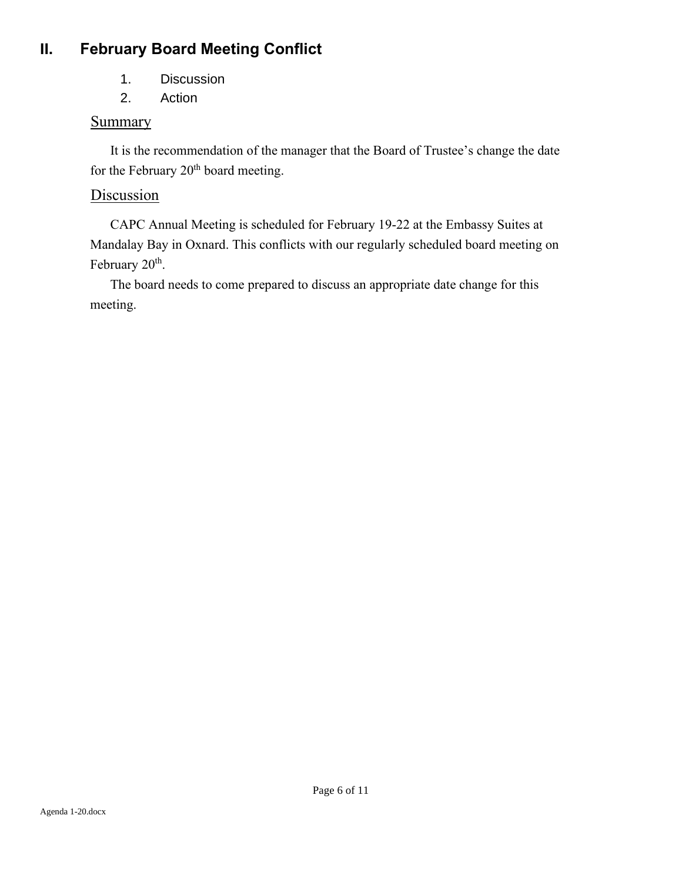## **II. February Board Meeting Conflict**

- 1. Discussion
- 2. Action

### **Summary**

It is the recommendation of the manager that the Board of Trustee's change the date for the February  $20<sup>th</sup>$  board meeting.

### Discussion

CAPC Annual Meeting is scheduled for February 19-22 at the Embassy Suites at Mandalay Bay in Oxnard. This conflicts with our regularly scheduled board meeting on February 20<sup>th</sup>.

The board needs to come prepared to discuss an appropriate date change for this meeting.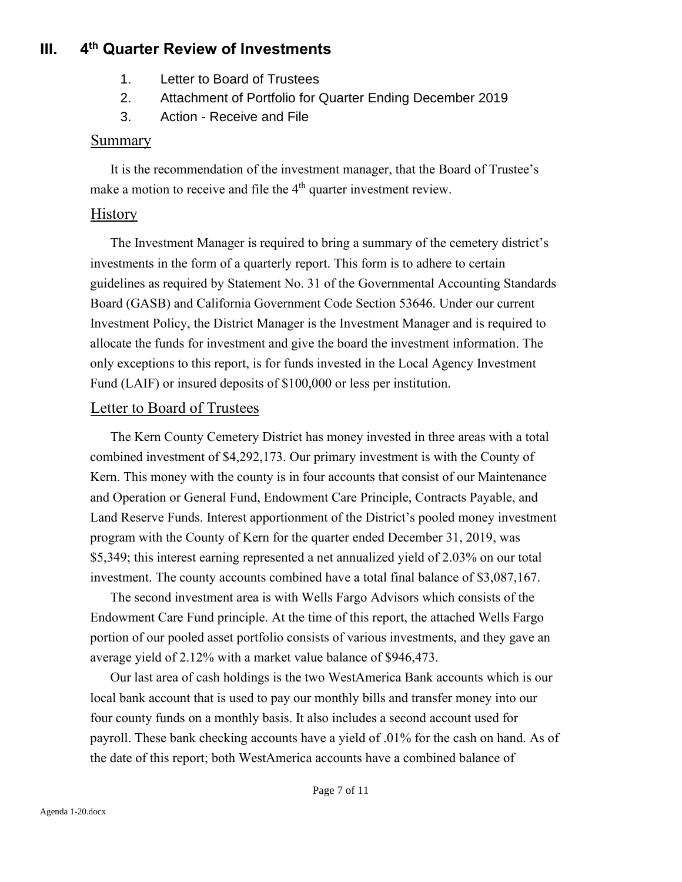#### **III. 4 th Quarter Review of Investments**

- 1. Letter to Board of Trustees
- 2. Attachment of Portfolio for Quarter Ending December 2019
- 3. Action Receive and File

#### Summary

It is the recommendation of the investment manager, that the Board of Trustee's make a motion to receive and file the  $4<sup>th</sup>$  quarter investment review.

#### History

The Investment Manager is required to bring a summary of the cemetery district's investments in the form of a quarterly report. This form is to adhere to certain guidelines as required by Statement No. 31 of the Governmental Accounting Standards Board (GASB) and California Government Code Section 53646. Under our current Investment Policy, the District Manager is the Investment Manager and is required to allocate the funds for investment and give the board the investment information. The only exceptions to this report, is for funds invested in the Local Agency Investment Fund (LAIF) or insured deposits of \$100,000 or less per institution.

#### Letter to Board of Trustees

The Kern County Cemetery District has money invested in three areas with a total combined investment of \$4,292,173. Our primary investment is with the County of Kern. This money with the county is in four accounts that consist of our Maintenance and Operation or General Fund, Endowment Care Principle, Contracts Payable, and Land Reserve Funds. Interest apportionment of the District's pooled money investment program with the County of Kern for the quarter ended December 31, 2019, was \$5,349; this interest earning represented a net annualized yield of 2.03% on our total investment. The county accounts combined have a total final balance of \$3,087,167.

The second investment area is with Wells Fargo Advisors which consists of the Endowment Care Fund principle. At the time of this report, the attached Wells Fargo portion of our pooled asset portfolio consists of various investments, and they gave an average yield of 2.12% with a market value balance of \$946,473.

Our last area of cash holdings is the two WestAmerica Bank accounts which is our local bank account that is used to pay our monthly bills and transfer money into our four county funds on a monthly basis. It also includes a second account used for payroll. These bank checking accounts have a yield of .01% for the cash on hand. As of the date of this report; both WestAmerica accounts have a combined balance of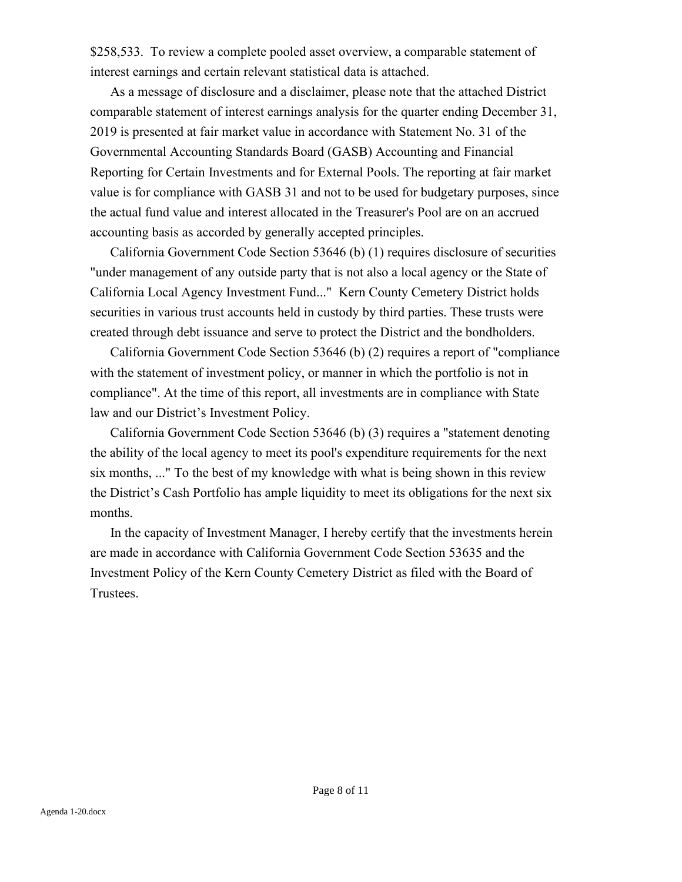\$258,533. To review a complete pooled asset overview, a comparable statement of interest earnings and certain relevant statistical data is attached.

As a message of disclosure and a disclaimer, please note that the attached District comparable statement of interest earnings analysis for the quarter ending December 31, 2019 is presented at fair market value in accordance with Statement No. 31 of the Governmental Accounting Standards Board (GASB) Accounting and Financial Reporting for Certain Investments and for External Pools. The reporting at fair market value is for compliance with GASB 31 and not to be used for budgetary purposes, since the actual fund value and interest allocated in the Treasurer's Pool are on an accrued accounting basis as accorded by generally accepted principles.

California Government Code Section 53646 (b) (1) requires disclosure of securities "under management of any outside party that is not also a local agency or the State of California Local Agency Investment Fund..." Kern County Cemetery District holds securities in various trust accounts held in custody by third parties. These trusts were created through debt issuance and serve to protect the District and the bondholders.

California Government Code Section 53646 (b) (2) requires a report of "compliance with the statement of investment policy, or manner in which the portfolio is not in compliance". At the time of this report, all investments are in compliance with State law and our District's Investment Policy.

California Government Code Section 53646 (b) (3) requires a "statement denoting the ability of the local agency to meet its pool's expenditure requirements for the next six months, ..." To the best of my knowledge with what is being shown in this review the District's Cash Portfolio has ample liquidity to meet its obligations for the next six months.

In the capacity of Investment Manager, I hereby certify that the investments herein are made in accordance with California Government Code Section 53635 and the Investment Policy of the Kern County Cemetery District as filed with the Board of Trustees.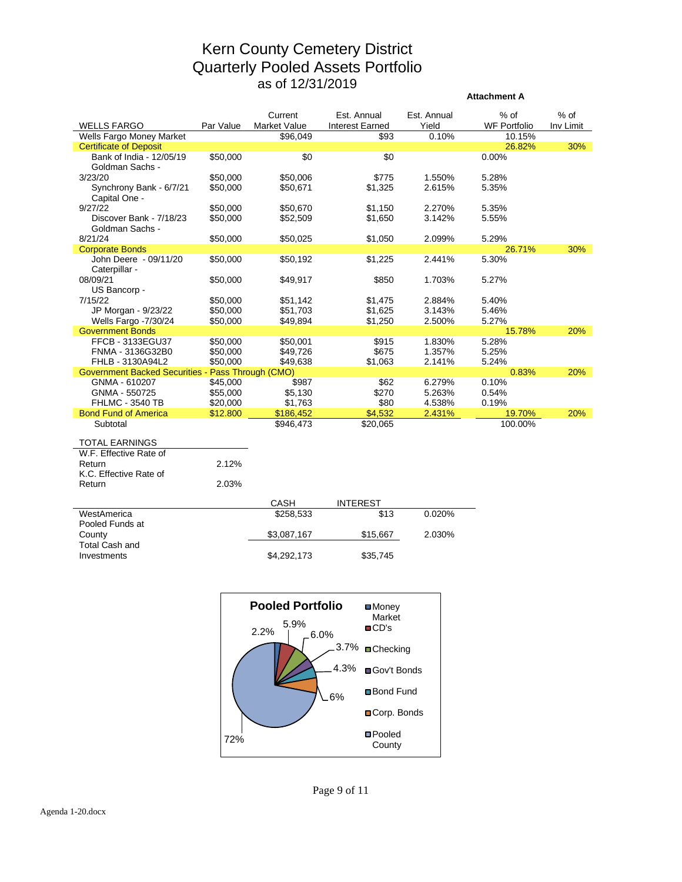### Kern County Cemetery District Quarterly Pooled Assets Portfolio as of 12/31/2019

**Attachment A**

|                                                          |           | Current      | Est. Annual     | Est. Annual | $%$ of              | $%$ of    |
|----------------------------------------------------------|-----------|--------------|-----------------|-------------|---------------------|-----------|
| <b>WELLS FARGO</b>                                       | Par Value | Market Value | Interest Earned | Yield       | <b>WF Portfolio</b> | Inv Limit |
| Wells Fargo Money Market                                 |           | \$96,049     | \$93            | 0.10%       | 10.15%              |           |
| <b>Certificate of Deposit</b>                            |           |              |                 |             | 26.82%              | 30%       |
| Bank of India - 12/05/19                                 | \$50,000  | \$0          | \$0             |             | 0.00%               |           |
| Goldman Sachs -                                          |           |              |                 |             |                     |           |
| 3/23/20                                                  | \$50,000  | \$50,006     | \$775           | 1.550%      | 5.28%               |           |
| Synchrony Bank - 6/7/21                                  | \$50,000  | \$50,671     | \$1,325         | 2.615%      | 5.35%               |           |
| Capital One -                                            |           |              |                 |             |                     |           |
| 9/27/22                                                  | \$50,000  | \$50,670     | \$1,150         | 2.270%      | 5.35%               |           |
| Discover Bank - 7/18/23                                  | \$50,000  | \$52,509     | \$1,650         | 3.142%      | 5.55%               |           |
| Goldman Sachs -                                          |           |              |                 |             |                     |           |
| 8/21/24                                                  | \$50,000  | \$50,025     | \$1,050         | 2.099%      | 5.29%               |           |
| <b>Corporate Bonds</b>                                   |           |              |                 |             | 26.71%              | 30%       |
| John Deere - 09/11/20                                    | \$50,000  | \$50,192     | \$1,225         | 2.441%      | 5.30%               |           |
| Caterpillar -<br>08/09/21                                | \$50,000  | \$49,917     | \$850           | 1.703%      | 5.27%               |           |
| US Bancorp -                                             |           |              |                 |             |                     |           |
| 7/15/22                                                  | \$50.000  | \$51,142     | \$1,475         | 2.884%      | 5.40%               |           |
| JP Morgan - 9/23/22                                      | \$50,000  | \$51,703     | \$1,625         | 3.143%      | 5.46%               |           |
| Wells Fargo -7/30/24                                     | \$50,000  | \$49,894     | \$1,250         | 2.500%      | 5.27%               |           |
| <b>Government Bonds</b>                                  |           |              |                 |             | 15.78%              | 20%       |
| FFCB - 3133EGU37                                         | \$50,000  | \$50,001     | \$915           | 1.830%      | 5.28%               |           |
| FNMA - 3136G32B0                                         | \$50,000  | \$49,726     | \$675           | 1.357%      | 5.25%               |           |
| FHLB - 3130A94L2                                         | \$50,000  | \$49,638     | \$1,063         | 2.141%      | 5.24%               |           |
| <b>Government Backed Securities - Pass Through (CMO)</b> |           |              |                 |             | 0.83%               | 20%       |
| GNMA - 610207                                            | \$45,000  | \$987        | \$62            | 6.279%      | 0.10%               |           |
| GNMA - 550725                                            | \$55,000  | \$5,130      | \$270           | 5.263%      | 0.54%               |           |
| <b>FHLMC - 3540 TB</b>                                   | \$20,000  | \$1,763      | \$80            | 4.538%      | 0.19%               |           |
| <b>Bond Fund of America</b>                              | \$12.800  | \$186,452    | \$4,532         | 2.431%      | 19.70%              | 20%       |
| Subtotal                                                 |           | \$946,473    | \$20,065        |             | 100.00%             |           |
|                                                          |           |              |                 |             |                     |           |
| <b>TOTAL EARNINGS</b>                                    |           |              |                 |             |                     |           |
| W.F. Effective Rate of                                   | 2.12%     |              |                 |             |                     |           |
| Return                                                   |           |              |                 |             |                     |           |
| K.C. Effective Rate of<br>Return                         | 2.03%     |              |                 |             |                     |           |
|                                                          |           |              |                 |             |                     |           |
|                                                          |           | CASH         | <b>INTEREST</b> |             |                     |           |
| WestAmerica                                              |           | \$258,533    | \$13            | 0.020%      |                     |           |

| <i>vvest</i> amenca | മ∠ാഠ.ാാാ    | د ۱ م    | U.UZU% |
|---------------------|-------------|----------|--------|
| Pooled Funds at     |             |          |        |
| County              | \$3.087.167 | \$15,667 | 2.030% |
| Total Cash and      |             |          |        |
| Investments         | \$4.292.173 | \$35.745 |        |
|                     |             |          |        |



Page 9 of 11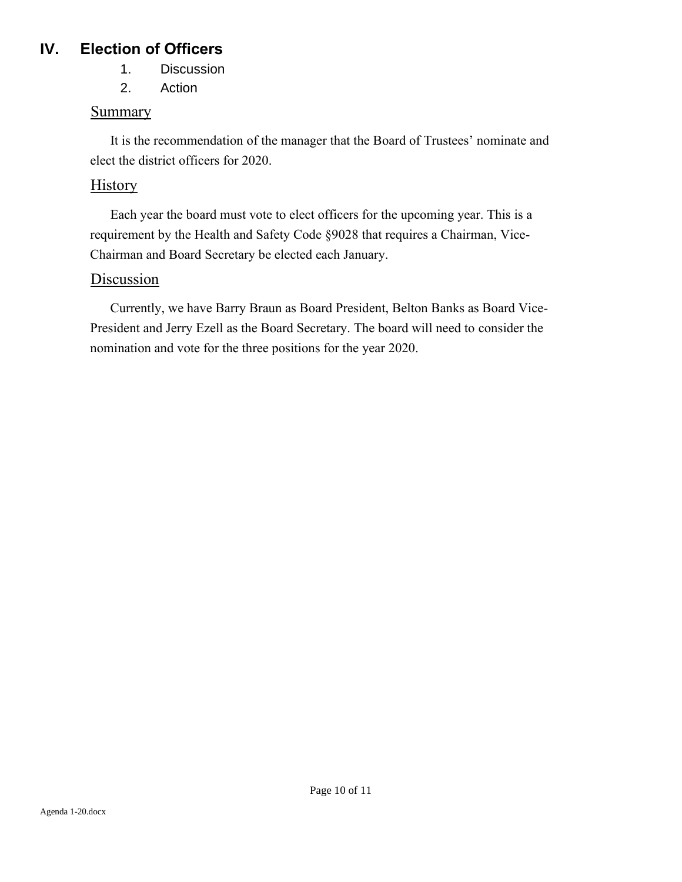### **IV. Election of Officers**

- 1. Discussion
- 2. Action

### Summary

It is the recommendation of the manager that the Board of Trustees' nominate and elect the district officers for 2020.

### **History**

Each year the board must vote to elect officers for the upcoming year. This is a requirement by the Health and Safety Code §9028 that requires a Chairman, Vice-Chairman and Board Secretary be elected each January.

### Discussion

Currently, we have Barry Braun as Board President, Belton Banks as Board Vice-President and Jerry Ezell as the Board Secretary. The board will need to consider the nomination and vote for the three positions for the year 2020.